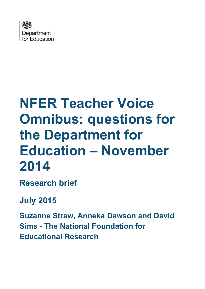

# **NFER Teacher Voice Omnibus: questions for the Department for Education – November 2014**

**Research brief**

# **July 2015**

**Suzanne Straw, Anneka Dawson and David Sims - The National Foundation for Educational Research**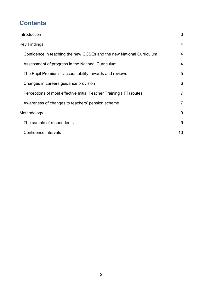## **Contents**

| Introduction                                                         | 3              |
|----------------------------------------------------------------------|----------------|
| <b>Key Findings</b>                                                  | 4              |
| Confidence in teaching the new GCSEs and the new National Curriculum | 4              |
| Assessment of progress in the National Curriculum                    | 4              |
| The Pupil Premium – accountability, awards and reviews               | 5              |
| Changes in careers guidance provision                                | 6              |
| Perceptions of most effective Initial Teacher Training (ITT) routes  | $\overline{7}$ |
| Awareness of changes to teachers' pension scheme                     | 7              |
| Methodology                                                          | 9              |
| The sample of respondents                                            | 9              |
| Confidence intervals                                                 | 10             |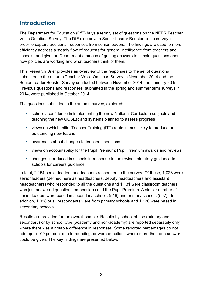#### <span id="page-2-0"></span>**Introduction**

The Department for Education (DfE) buys a termly set of questions on the NFER Teacher Voice Omnibus Survey. The DfE also buys a Senior Leader Booster to the survey in order to capture additional responses from senior leaders. The findings are used to more efficiently address a steady flow of requests for general intelligence from teachers and schools, and give the Department a means of getting answers to simple questions about how policies are working and what teachers think of them.

This Research Brief provides an overview of the responses to the set of questions submitted to the autumn Teacher Voice Omnibus Survey in November 2014 and the Senior Leader Booster Survey conducted between November 2014 and January 2015. Previous questions and responses, submitted in the spring and summer term surveys in 2014, were published in October 2014.

The questions submitted in the autumn survey, explored:

- schools' confidence in implementing the new National Curriculum subjects and teaching the new GCSEs; and systems planned to assess progress
- views on which Initial Teacher Training (ITT) route is most likely to produce an outstanding new teacher
- **EXECUTE:** awareness about changes to teachers' pensions
- views on accountability for the Pupil Premium; Pupil Premium awards and reviews
- changes introduced in schools in response to the revised statutory guidance to schools for careers guidance.

In total, 2,154 senior leaders and teachers responded to the survey. Of these, 1,023 were senior leaders (defined here as headteachers, deputy headteachers and assistant headteachers) who responded to all the questions and 1,131 were classroom teachers who just answered questions on pensions and the Pupil Premium. A similar number of senior leaders were based in secondary schools (516) and primary schools (507). In addition, 1,028 of all respondents were from primary schools and 1,126 were based in secondary schools.

Results are provided for the overall sample. Results by school phase (primary and secondary) or by school type (academy and non-academy) are reported separately only where there was a notable difference in responses. Some reported percentages do not add up to 100 per cent due to rounding, or were questions where more than one answer could be given. The key findings are presented below.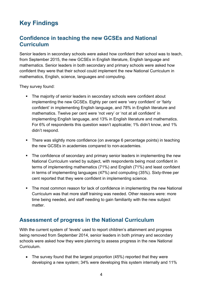## <span id="page-3-0"></span>**Key Findings**

#### <span id="page-3-1"></span>**Confidence in teaching the new GCSEs and National Curriculum**

Senior leaders in secondary schools were asked how confident their school was to teach, from September 2015, the new GCSEs in English literature, English language and mathematics. Senior leaders in both secondary and primary schools were asked how confident they were that their school could implement the new National Curriculum in mathematics, English, science, languages and computing.

They survey found:

- The majority of senior leaders in secondary schools were confident about implementing the new GCSEs. Eighty per cent were 'very confident' or 'fairly confident' in implementing English language, and 78% in English literature and mathematics. Twelve per cent were 'not very' or 'not at all confident' in implementing English language, and 13% in English literature and mathematics. For 6% of respondents this question wasn't applicable; 1% didn't know, and 1% didn't respond.
- There was slightly more confidence (on average 6 percentage points) in teaching the new GCSEs in academies compared to non-academies.
- The confidence of secondary and primary senior leaders in implementing the new National Curriculum varied by subject, with respondents being most confident in terms of implementing mathematics (71%) and English (71%) and least confident in terms of implementing languages (47%) and computing (35%). Sixty-three per cent reported that they were confident in implementing science.
- The most common reason for lack of confidence in implementing the new National Curriculum was that more staff training was needed. Other reasons were: more time being needed, and staff needing to gain familiarity with the new subject matter.

#### **Assessment of progress in the National Curriculum**

With the current system of 'levels' used to report children's attainment and progress being removed from September 2014, senior leaders in both primary and secondary schools were asked how they were planning to assess progress in the new National **Curriculum** 

• The survey found that the largest proportion (45%) reported that they were developing a new system; 34% were developing this system internally and 11%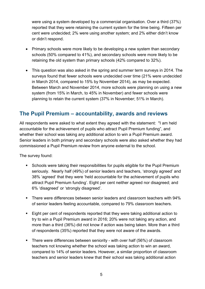were using a system developed by a commercial organisation. Over a third (37%) reported that they were retaining the current system for the time being. Fifteen per cent were undecided; 2% were using another system; and 2% either didn't know or didn't respond.

- Primary schools were more likely to be developing a new system than secondary schools (50% compared to 41%), and secondary schools were more likely to be retaining the old system than primary schools (42% compared to 32%).
- This question was also asked in the spring and summer term surveys in 2014. The surveys found that fewer schools were undecided over time (21% were undecided in March 2014, compared to 15% by November 2014), as may be expected. Between March and November 2014, more schools were planning on using a new system (from 15% in March, to 45% in November) and fewer schools were planning to retain the current system (37% in November; 51% in March).

#### **The Pupil Premium – accountability, awards and reviews**

All respondents were asked to what extent they agreed with the statement: "I am held accountable for the achievement of pupils who attract Pupil Premium funding", and whether their school was taking any additional action to win a Pupil Premium award. Senior leaders in both primary and secondary schools were also asked whether they had commissioned a Pupil Premium review from anyone external to the school.

The survey found:

- Schools were taking their responsibilities for pupils eligible for the Pupil Premium seriously. Nearly half (49%) of senior leaders and teachers, 'strongly agreed' and 38% 'agreed' that they were 'held accountable for the achievement of pupils who attract Pupil Premium funding'. Eight per cent neither agreed nor disagreed; and 6% 'disagreed' or 'strongly disagreed'.
- There were differences between senior leaders and classroom teachers with 94% of senior leaders feeling accountable, compared to 79% classroom teachers.
- Eight per cent of respondents reported that they were taking additional action to try to win a Pupil Premium award in 2016; 20% were not taking any action, and more than a third (36%) did not know if action was being taken. More than a third of respondents (35%) reported that they were not aware of the awards.
- **There were differences between seniority with over half (56%) of classroom** teachers not knowing whether the school was taking action to win an award, compared to 14% of senior leaders. However, a similar proportion of classroom teachers and senior leaders knew that their school was taking additional action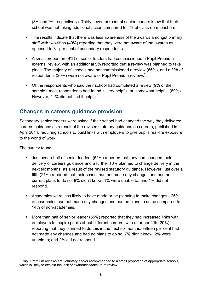(8% and 9% respectively). Thirty seven percent of senior leaders knew that their school was not taking additional action compared to 4% of classroom teachers

- The results indicate that there was less awareness of the awards amongst primary staff with two-fifths (40%) reporting that they were not aware of the awards as opposed to 31 per cent of secondary respondents.
- A small proportion (9%) of senior leaders had commissioned a Pupil Premium external review, with an additional 5% reporting that a review was planned to take place. The majority of schools had not commissioned a review (66%), and a fifth of respondents (20%) were not aware of Pupil Premium reviews<sup>[1](#page-5-0)</sup>.
- Of the respondents who said their school had completed a review (9% of the sample), most respondents had found it 'very helpful' or 'somewhat helpful' (89%). However, 11% did not find it helpful.

#### **Changes in careers guidance provision**

Secondary senior leaders were asked if their school had changed the way they delivered careers guidance as a result of the revised statutory guidance on careers, published in April 2014, requiring schools to build links with employers to give pupils real-life exposure to the world of work.

The survey found:

 $\overline{a}$ 

- Just over a half of senior leaders (51%) reported that they had changed their delivery of careers guidance and a further 18% planned to change delivery in the next six months, as a result of the revised statutory guidance. However, just over a fifth (21%) reported that their school had not made any changes and had no current plans to do so; 8% didn't know; 1% were unable to; and 1% did not respond.
- Academies were less likely to have made or be planning to make changes 26% of academies had not made any changes and had no plans to do so compared to 14% of non-academies.
- More than half of senior leader (55%) reported that they had increased links with employers to inspire pupils about different careers, with a further fifth (20%) reporting that they planned to do this in the next six months. Fifteen per cent had not made any changes and had no plans to do so; 7% didn't know; 2% were unable to; and 2% did not respond.

<span id="page-5-0"></span> $1$  Pupil Premium reviews are voluntary and/or recommended to a small proportion of appropriate schools, which is likely to explain the lack of awareness/take up of review.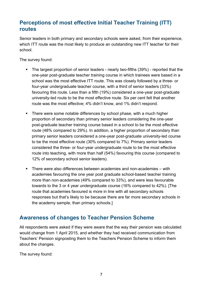#### **Perceptions of most effective Initial Teacher Training (ITT) routes**

Senior leaders in both primary and secondary schools were asked, from their experience, which ITT route was the most likely to produce an outstanding new ITT teacher for their school.

The survey found:

- The largest proportion of senior leaders nearly two-fifths (39%) reported that the one-year post-graduate teacher training course in which trainees were based in a school was the most effective ITT route. This was closely followed by a three- or four-year undergraduate teacher course, with a third of senior leaders (33%) favouring this route. Less than a fifth (19%) considered a one-year post-graduate university-led route to be the most effective route. Six per cent felt that another route was the most effective; 4% didn't know, and 1% didn't respond.
- There were some notable differences by school phase, with a much higher proportion of secondary than primary senior leaders considering the one-year post-graduate teacher training course based in a school to be the most effective route (48% compared to 29%). In addition, a higher proportion of secondary than primary senior leaders considered a one-year post-graduate university-led course to be the most effective route (30% compared to 7%). Primary senior leaders considered the three- or four-year undergraduate route to be the most effective route into teaching, with more than half (54%) favouring this course (compared to 12% of secondary school senior leaders).
- There were also differences between academies and non-academies with academies favouring the one year post graduate school-based teacher training more than non-academies (49% compared to 33%), and were less favourable towards to the 3 or 4 year undergraduate course (16% compared to 42%). [The route that academies favoured is more in line with all secondary schools responses but that's likely to be because there are far more secondary schools in the academy sample, than primary schools.]

#### **Awareness of changes to Teacher Pension Scheme**

All respondents were asked if they were aware that the way their pension was calculated would change from 1 April 2015, and whether they had received communication from Teachers' Pension signposting them to the Teachers Pension Scheme to inform them about the changes.

The survey found: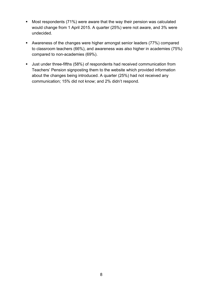- Most respondents (71%) were aware that the way their pension was calculated would change from 1 April 2015. A quarter (25%) were not aware, and 3% were undecided.
- Awareness of the changes were higher amongst senior leaders (77%) compared to classroom teachers (66%), and awareness was also higher in academies (75%) compared to non-academies (69%).
- Just under three-fifths (58%) of respondents had received communication from Teachers' Pension signposting them to the website which provided information about the changes being introduced. A quarter (25%) had not received any communication; 15% did not know; and 2% didn't respond.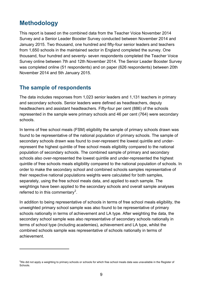#### <span id="page-8-0"></span>**Methodology**

 $\overline{a}$ 

This report is based on the combined data from the Teacher Voice November 2014 Survey and a Senior Leader Booster Survey conducted between November 2014 and January 2015. Two thousand, one hundred and fifty-four senior leaders and teachers from 1,650 schools in the maintained sector in England completed the survey. One thousand, four hundred and seventy- seven respondents completed the Teacher Voice Survey online between 7th and 12th November 2014. The Senior Leader Booster Survey was completed online (51 respondents) and on paper (626 respondents) between 20th November 2014 and 5th January 2015.

#### <span id="page-8-1"></span>**The sample of respondents**

<span id="page-8-2"></span>The data includes responses from 1,023 senior leaders and 1,131 teachers in primary and secondary schools. Senior leaders were defined as headteachers, deputy headteachers and assistant headteachers. Fifty-four per cent (886) of the schools represented in the sample were primary schools and 46 per cent (764) were secondary schools.

In terms of free school meals (FSM) eligibility the sample of primary schools drawn was found to be representative of the national population of primary schools. The sample of secondary schools drawn was found to over-represent the lowest quintile and underrepresent the highest quintile of free school meals eligibility compared to the national population of secondary schools. The combined sample of primary and secondary schools also over-represented the lowest quintile and under-represented the highest quintile of free schools meals eligibility compared to the national population of schools. In order to make the secondary school and combined schools samples representative of their respective national populations weights were calculated for both samples, separately, using the free school meals data, and applied to each sample. The weightings have been applied to the secondary schools and overall sample analyses referred to in this commentary<sup>[2](#page-8-3)</sup>.

In addition to being representative of schools in terms of free school meals eligibility, the unweighted primary school sample was also found to be representative of primary schools nationally in terms of achievement and LA type. After weighting the data, the secondary school sample was also representative of secondary schools nationally in terms of school type (including academies), achievement and LA type, whilst the combined schools sample was representative of schools nationally in terms of achievement.

<span id="page-8-3"></span> $^2$ We did not apply a weighting to primary schools or schools for which free school meals data was unavailable in the Register of **Schools**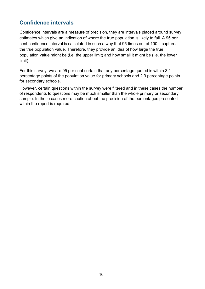#### **Confidence intervals**

Confidence intervals are a measure of precision, they are intervals placed around survey estimates which give an indication of where the true population is likely to fall. A 95 per cent confidence interval is calculated in such a way that 95 times out of 100 it captures the true population value. Therefore, they provide an idea of how large the true population value might be (i.e. the upper limit) and how small it might be (i.e. the lower limit).

For this survey, we are 95 per cent certain that any percentage quoted is within 3.1 percentage points of the population value for primary schools and 2.9 percentage points for secondary schools.

However, certain questions within the survey were filtered and in these cases the number of respondents to questions may be much smaller than the whole primary or secondary sample. In these cases more caution about the precision of the percentages presented within the report is required.